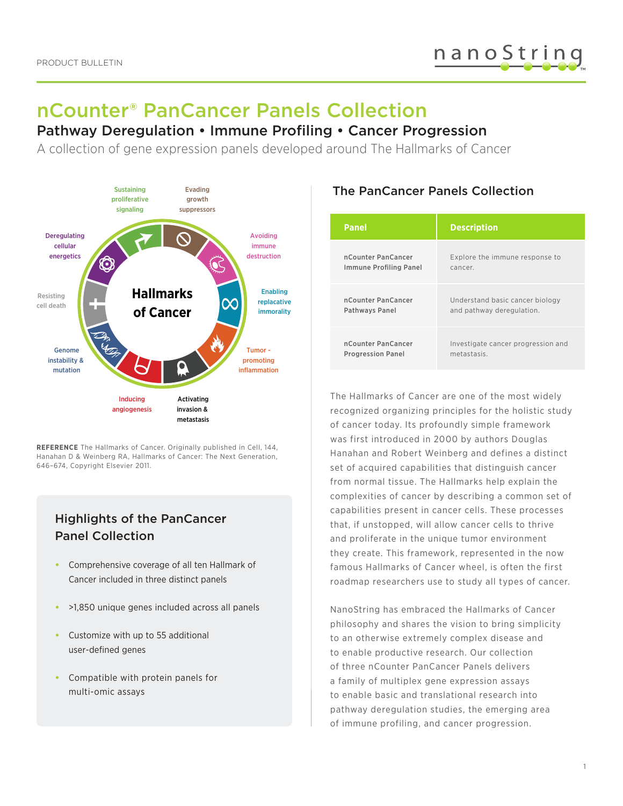# nCounter® PanCancer Panels Collection

# Pathway Deregulation • Immune Profiling • Cancer Progression

A collection of gene expression panels developed around The Hallmarks of Cancer



**REFERENCE** The Hallmarks of Cancer. Originally published in Cell, 144, Hanahan D & Weinberg RA, Hallmarks of Cancer: The Next Generation, 646–674, Copyright Elsevier 2011.

# Highlights of the PanCancer Panel Collection

- Comprehensive coverage of all ten Hallmark of Cancer included in three distinct panels
- >1,850 unique genes included across all panels
- Customize with up to 55 additional user-defined genes
- Compatible with protein panels for multi-omic assays

# The PanCancer Panels Collection

| <b>Panel</b>             | <b>Description</b>                 |
|--------------------------|------------------------------------|
| nCounter PanCancer       | Explore the immune response to     |
| Immune Profiling Panel   | cancer.                            |
| nCounter PanCancer       | Understand basic cancer biology    |
| Pathways Panel           | and pathway deregulation.          |
| nCounter PanCancer       | Investigate cancer progression and |
| <b>Progression Panel</b> | metastasis.                        |

The Hallmarks of Cancer are one of the most widely recognized organizing principles for the holistic study of cancer today. Its profoundly simple framework was first introduced in 2000 by authors Douglas Hanahan and Robert Weinberg and defines a distinct set of acquired capabilities that distinguish cancer from normal tissue. The Hallmarks help explain the complexities of cancer by describing a common set of capabilities present in cancer cells. These processes that, if unstopped, will allow cancer cells to thrive and proliferate in the unique tumor environment they create. This framework, represented in the now famous Hallmarks of Cancer wheel, is often the first roadmap researchers use to study all types of cancer.

NanoString has embraced the Hallmarks of Cancer philosophy and shares the vision to bring simplicity to an otherwise extremely complex disease and to enable productive research. Our collection of three nCounter PanCancer Panels delivers a family of multiplex gene expression assays to enable basic and translational research into pathway deregulation studies, the emerging area of immune profiling, and cancer progression.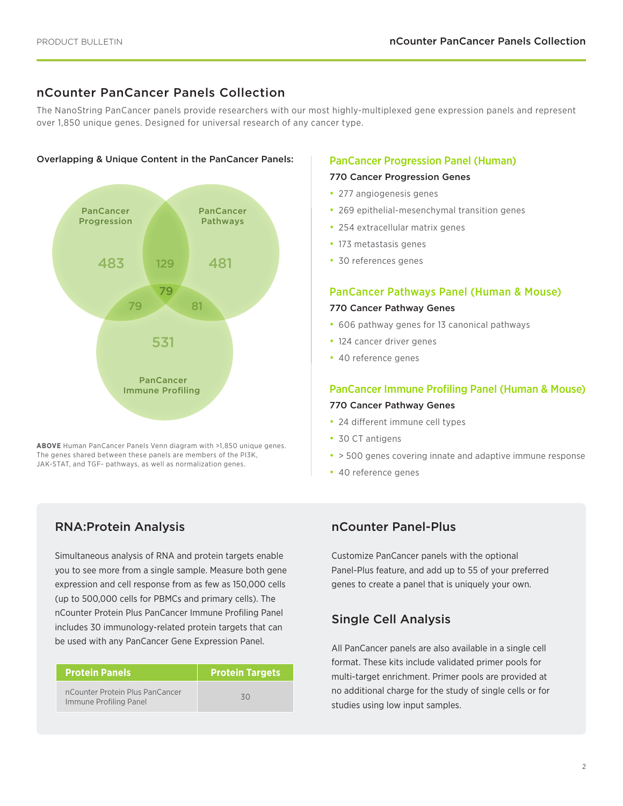# nCounter PanCancer Panels Collection

The NanoString PanCancer panels provide researchers with our most highly-multiplexed gene expression panels and represent over 1,850 unique genes. Designed for universal research of any cancer type.

#### Overlapping & Unique Content in the PanCancer Panels:



**ABOVE** Human PanCancer Panels Venn diagram with >1,850 unique genes. The genes shared between these panels are members of the PI3K, JAK-STAT, and TGF- pathways, as well as normalization genes.

# RNA:Protein Analysis

Simultaneous analysis of RNA and protein targets enable you to see more from a single sample. Measure both gene expression and cell response from as few as 150,000 cells (up to 500,000 cells for PBMCs and primary cells). The nCounter Protein Plus PanCancer Immune Profiling Panel includes 30 immunology-related protein targets that can be used with any PanCancer Gene Expression Panel.

| <b>Protein Panels</b>                                     | <b>Protein Targets</b> |
|-----------------------------------------------------------|------------------------|
| nCounter Protein Plus PanCancer<br>Immune Profiling Panel | 30                     |

#### PanCancer Progression Panel (Human)

#### 770 Cancer Progression Genes

- 277 angiogenesis genes
- 269 epithelial-mesenchymal transition genes
- 254 extracellular matrix genes
- 173 metastasis genes
- 30 references genes

#### PanCancer Pathways Panel (Human & Mouse)

#### 770 Cancer Pathway Genes

- 606 pathway genes for 13 canonical pathways
- 124 cancer driver genes
- 40 reference genes

# PanCancer Immune Profiling Panel (Human & Mouse) 770 Cancer Pathway Genes

- 24 different immune cell types
- 30 CT antigens
- > 500 genes covering innate and adaptive immune response
- 40 reference genes

### nCounter Panel-Plus

Customize PanCancer panels with the optional Panel-Plus feature, and add up to 55 of your preferred genes to create a panel that is uniquely your own.

### Single Cell Analysis

All PanCancer panels are also available in a single cell format. These kits include validated primer pools for multi-target enrichment. Primer pools are provided at no additional charge for the study of single cells or for studies using low input samples.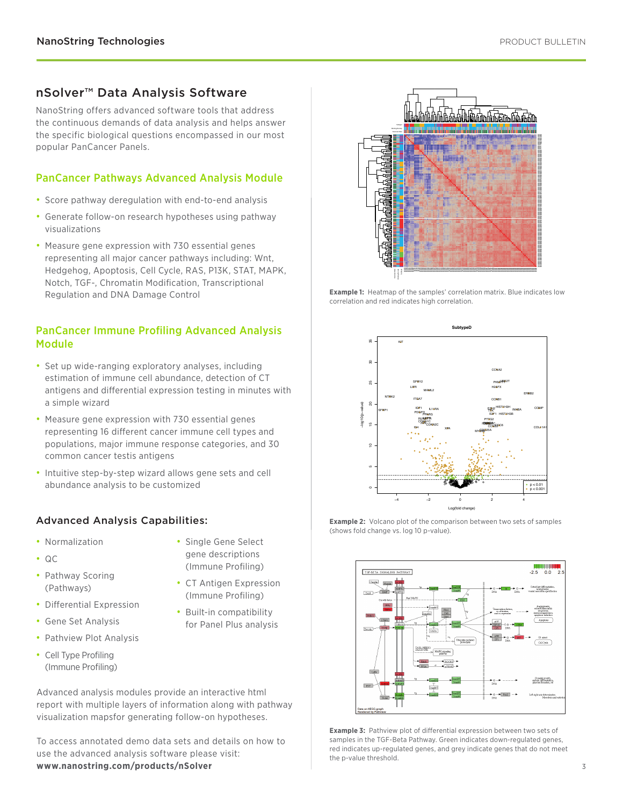# nSolver™ Data Analysis Software

NanoString offers advanced software tools that address the continuous demands of data analysis and helps answer the specific biological questions encompassed in our most popular PanCancer Panels.

# PanCancer Pathways Advanced Analysis Module

- Score pathway deregulation with end-to-end analysis
- Generate follow-on research hypotheses using pathway visualizations
- Measure gene expression with 730 essential genes representing all major cancer pathways including: Wnt, Hedgehog, Apoptosis, Cell Cycle, RAS, P13K, STAT, MAPK, Notch, TGF-, Chromatin Modification, Transcriptional Regulation and DNA Damage Control

### PanCancer Immune Profiling Advanced Analysis Module

- Set up wide-ranging exploratory analyses, including estimation of immune cell abundance, detection of CT antigens and differential expression testing in minutes with a simple wizard
- Measure gene expression with 730 essential genes representing 16 different cancer immune cell types and populations, major immune response categories, and 30 common cancer testis antigens
- Intuitive step-by-step wizard allows gene sets and cell abundance analysis to be customized

# Advanced Analysis Capabilities:

• Normalization

• QC

• Single Gene Select gene descriptions (Immune Profiling)

• CT Antigen Expression (Immune Profiling) • Built-in compatibility for Panel Plus analysis

- Pathway Scoring (Pathways)
- Differential Expression
- Gene Set Analysis
- Pathview Plot Analysis
- Cell Type Profiling (Immune Profiling)

Advanced analysis modules provide an interactive html report with multiple layers of information along with pathway visualization mapsfor generating follow-on hypotheses.

To access annotated demo data sets and details on how to use the advanced analysis software please visit: **www.nanostring.com/products/nSolver**



**Example 1:** Heatmap of the samples' correlation matrix. Blue indicates low correlation and red indicates high correlation.







**Example 3:** Pathview plot of differential expression between two sets of samples in the TGF-Beta Pathway. Green indicates down-regulated genes, red indicates up-regulated genes, and grey indicate genes that do not meet the p-value threshold.